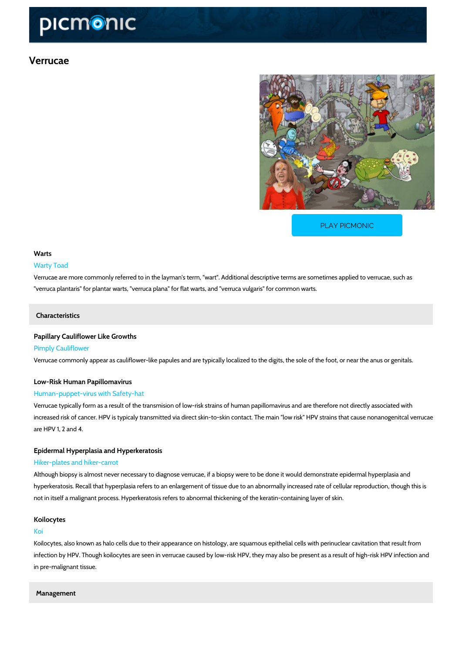# Verrucae

[PLAY PICMONIC](https://www.picmonic.com/learn/verrucae_50133?utm_source=downloadable_content&utm_medium=distributedcontent&utm_campaign=pathways_pdf&utm_content=Verrucae&utm_ad_group=leads&utm_market=all)

## Warts

#### Warty Toad

Verrucae are more commonly referred to in the layman's term, "wart". Additional descriptive to "verruca plantaris" for plantar warts, "verruca plana" for flat warts, and "verruca vulgaris" for

#### Characteristics

# Papillary Cauliflower Like Growths

# Pimply Cauliflower

Verrucae commonly appear as cauliflower-like papules and are typically localized to the digits

# Low-Risk Human Papillomavirus

# Human-puppet-virus with Safety-hat

Verrucae typically form as a result of the transmision of low-risk strains of human papillomav increased risk of cancer. HPV is typicaly transmitted via direct skin-to-skin contact. The main are HPV 1, 2 and 4.

#### Epidermal Hyperplasia and Hyperkeratosis

# Hiker-plates and hiker-carrot

Although biopsy is almost never necessary to diagnose verrucae, if a biopsy were to be done hyperkeratosis. Recall that hyperplasia refers to an enlargement of tissue due to an abnormal not in itself a malignant process. Hyperkeratosis refers to abnormal thickening of the keratin-

#### Koilocytes

#### Koi

Koilocytes, also known as halo cells due to their appearance on histology, are squamous epith infection by HPV. Though koilocytes are seen in verrucae caused by low-risk HPV, they may a in pre-malignant tissue.